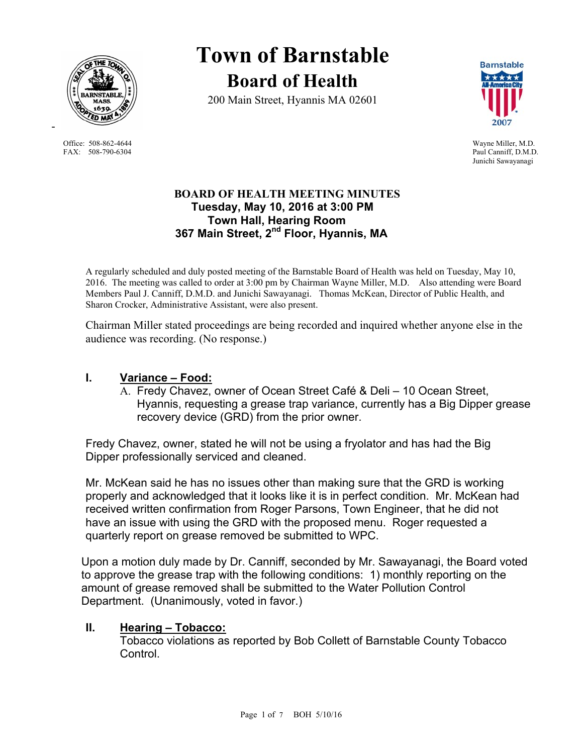

Office: 508-862-4644 Wayne Miller, M.D. FAX: 508-790-6304 Paul Canniff, D.M.D.

-

**Town of Barnstable Board of Health**

200 Main Street, Hyannis MA 02601



Junichi Sawayanagi

### **BOARD OF HEALTH MEETING MINUTES Tuesday, May 10, 2016 at 3:00 PM Town Hall, Hearing Room 367 Main Street, 2nd Floor, Hyannis, MA**

A regularly scheduled and duly posted meeting of the Barnstable Board of Health was held on Tuesday, May 10, 2016. The meeting was called to order at 3:00 pm by Chairman Wayne Miller, M.D. Also attending were Board Members Paul J. Canniff, D.M.D. and Junichi Sawayanagi. Thomas McKean, Director of Public Health, and Sharon Crocker, Administrative Assistant, were also present.

Chairman Miller stated proceedings are being recorded and inquired whether anyone else in the audience was recording. (No response.)

### **I. Variance – Food:**

A. Fredy Chavez, owner of Ocean Street Café & Deli – 10 Ocean Street, Hyannis, requesting a grease trap variance, currently has a Big Dipper grease recovery device (GRD) from the prior owner.

Fredy Chavez, owner, stated he will not be using a fryolator and has had the Big Dipper professionally serviced and cleaned.

Mr. McKean said he has no issues other than making sure that the GRD is working properly and acknowledged that it looks like it is in perfect condition. Mr. McKean had received written confirmation from Roger Parsons, Town Engineer, that he did not have an issue with using the GRD with the proposed menu. Roger requested a quarterly report on grease removed be submitted to WPC.

Upon a motion duly made by Dr. Canniff, seconded by Mr. Sawayanagi, the Board voted to approve the grease trap with the following conditions: 1) monthly reporting on the amount of grease removed shall be submitted to the Water Pollution Control Department. (Unanimously, voted in favor.)

#### **II. Hearing – Tobacco:**

Tobacco violations as reported by Bob Collett of Barnstable County Tobacco Control.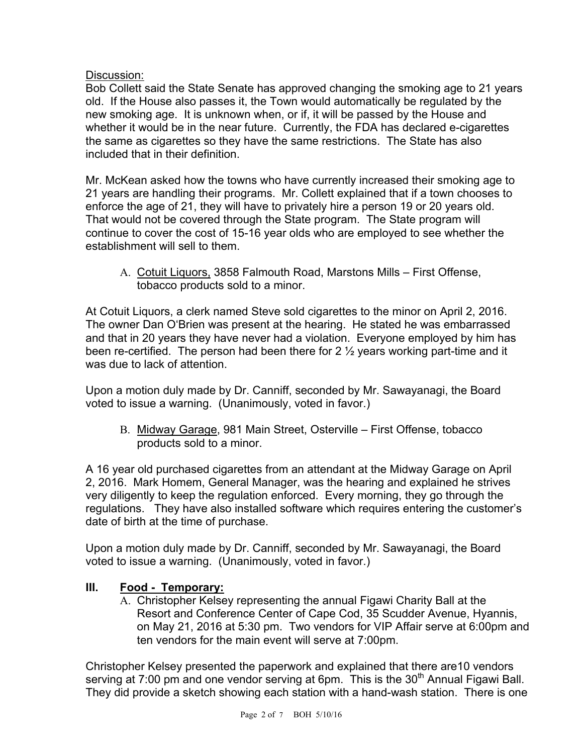### Discussion:

Bob Collett said the State Senate has approved changing the smoking age to 21 years old. If the House also passes it, the Town would automatically be regulated by the new smoking age. It is unknown when, or if, it will be passed by the House and whether it would be in the near future. Currently, the FDA has declared e-cigarettes the same as cigarettes so they have the same restrictions. The State has also included that in their definition.

Mr. McKean asked how the towns who have currently increased their smoking age to 21 years are handling their programs. Mr. Collett explained that if a town chooses to enforce the age of 21, they will have to privately hire a person 19 or 20 years old. That would not be covered through the State program. The State program will continue to cover the cost of 15-16 year olds who are employed to see whether the establishment will sell to them.

A. Cotuit Liquors, 3858 Falmouth Road, Marstons Mills – First Offense, tobacco products sold to a minor.

At Cotuit Liquors, a clerk named Steve sold cigarettes to the minor on April 2, 2016. The owner Dan O'Brien was present at the hearing. He stated he was embarrassed and that in 20 years they have never had a violation. Everyone employed by him has been re-certified. The person had been there for 2  $\frac{1}{2}$  years working part-time and it was due to lack of attention.

Upon a motion duly made by Dr. Canniff, seconded by Mr. Sawayanagi, the Board voted to issue a warning. (Unanimously, voted in favor.)

B. Midway Garage, 981 Main Street, Osterville – First Offense, tobacco products sold to a minor.

A 16 year old purchased cigarettes from an attendant at the Midway Garage on April 2, 2016. Mark Homem, General Manager, was the hearing and explained he strives very diligently to keep the regulation enforced. Every morning, they go through the regulations. They have also installed software which requires entering the customer's date of birth at the time of purchase.

Upon a motion duly made by Dr. Canniff, seconded by Mr. Sawayanagi, the Board voted to issue a warning. (Unanimously, voted in favor.)

## **III. Food - Temporary:**

A. Christopher Kelsey representing the annual Figawi Charity Ball at the Resort and Conference Center of Cape Cod, 35 Scudder Avenue, Hyannis, on May 21, 2016 at 5:30 pm. Two vendors for VIP Affair serve at 6:00pm and ten vendors for the main event will serve at 7:00pm.

Christopher Kelsey presented the paperwork and explained that there are10 vendors serving at 7:00 pm and one vendor serving at 6pm. This is the  $30<sup>th</sup>$  Annual Figawi Ball. They did provide a sketch showing each station with a hand-wash station. There is one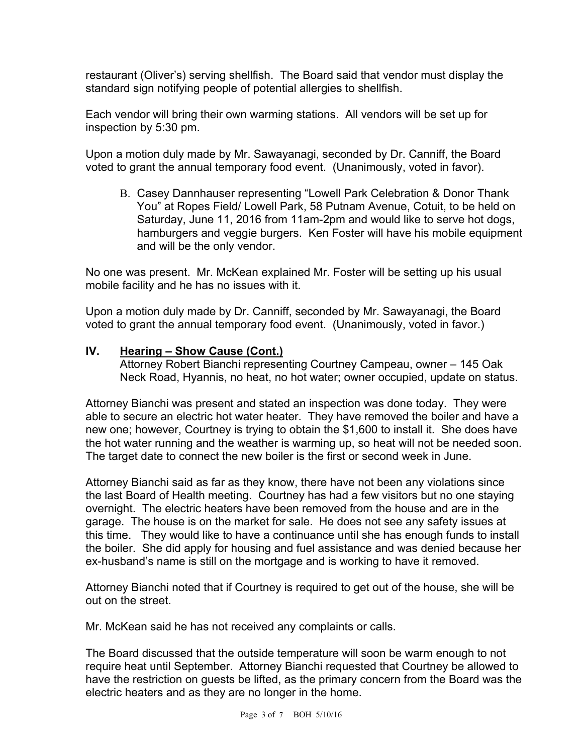restaurant (Oliver's) serving shellfish. The Board said that vendor must display the standard sign notifying people of potential allergies to shellfish.

Each vendor will bring their own warming stations. All vendors will be set up for inspection by 5:30 pm.

Upon a motion duly made by Mr. Sawayanagi, seconded by Dr. Canniff, the Board voted to grant the annual temporary food event. (Unanimously, voted in favor).

B. Casey Dannhauser representing "Lowell Park Celebration & Donor Thank You" at Ropes Field/ Lowell Park, 58 Putnam Avenue, Cotuit, to be held on Saturday, June 11, 2016 from 11am-2pm and would like to serve hot dogs, hamburgers and veggie burgers. Ken Foster will have his mobile equipment and will be the only vendor.

No one was present. Mr. McKean explained Mr. Foster will be setting up his usual mobile facility and he has no issues with it.

Upon a motion duly made by Dr. Canniff, seconded by Mr. Sawayanagi, the Board voted to grant the annual temporary food event. (Unanimously, voted in favor.)

#### **IV. Hearing – Show Cause (Cont.)**

 Attorney Robert Bianchi representing Courtney Campeau, owner – 145 Oak Neck Road, Hyannis, no heat, no hot water; owner occupied, update on status.

Attorney Bianchi was present and stated an inspection was done today. They were able to secure an electric hot water heater. They have removed the boiler and have a new one; however, Courtney is trying to obtain the \$1,600 to install it. She does have the hot water running and the weather is warming up, so heat will not be needed soon. The target date to connect the new boiler is the first or second week in June.

Attorney Bianchi said as far as they know, there have not been any violations since the last Board of Health meeting. Courtney has had a few visitors but no one staying overnight. The electric heaters have been removed from the house and are in the garage. The house is on the market for sale. He does not see any safety issues at this time. They would like to have a continuance until she has enough funds to install the boiler. She did apply for housing and fuel assistance and was denied because her ex-husband's name is still on the mortgage and is working to have it removed.

Attorney Bianchi noted that if Courtney is required to get out of the house, she will be out on the street.

Mr. McKean said he has not received any complaints or calls.

The Board discussed that the outside temperature will soon be warm enough to not require heat until September. Attorney Bianchi requested that Courtney be allowed to have the restriction on guests be lifted, as the primary concern from the Board was the electric heaters and as they are no longer in the home.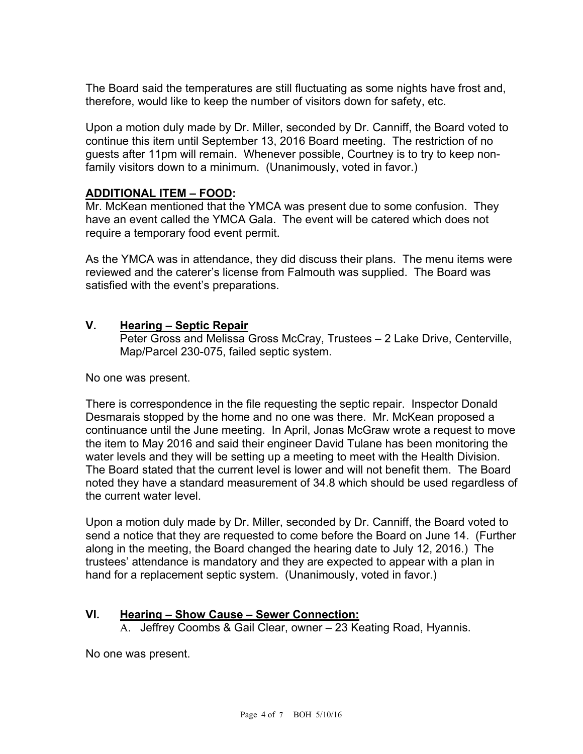The Board said the temperatures are still fluctuating as some nights have frost and, therefore, would like to keep the number of visitors down for safety, etc.

Upon a motion duly made by Dr. Miller, seconded by Dr. Canniff, the Board voted to continue this item until September 13, 2016 Board meeting. The restriction of no guests after 11pm will remain. Whenever possible, Courtney is to try to keep nonfamily visitors down to a minimum. (Unanimously, voted in favor.)

#### **ADDITIONAL ITEM – FOOD:**

Mr. McKean mentioned that the YMCA was present due to some confusion. They have an event called the YMCA Gala. The event will be catered which does not require a temporary food event permit.

As the YMCA was in attendance, they did discuss their plans. The menu items were reviewed and the caterer's license from Falmouth was supplied. The Board was satisfied with the event's preparations.

### **V. Hearing – Septic Repair**

Peter Gross and Melissa Gross McCray, Trustees – 2 Lake Drive, Centerville, Map/Parcel 230-075, failed septic system.

No one was present.

There is correspondence in the file requesting the septic repair. Inspector Donald Desmarais stopped by the home and no one was there. Mr. McKean proposed a continuance until the June meeting. In April, Jonas McGraw wrote a request to move the item to May 2016 and said their engineer David Tulane has been monitoring the water levels and they will be setting up a meeting to meet with the Health Division. The Board stated that the current level is lower and will not benefit them. The Board noted they have a standard measurement of 34.8 which should be used regardless of the current water level.

Upon a motion duly made by Dr. Miller, seconded by Dr. Canniff, the Board voted to send a notice that they are requested to come before the Board on June 14. (Further along in the meeting, the Board changed the hearing date to July 12, 2016.) The trustees' attendance is mandatory and they are expected to appear with a plan in hand for a replacement septic system. (Unanimously, voted in favor.)

#### **VI. Hearing – Show Cause – Sewer Connection:**

A. Jeffrey Coombs & Gail Clear, owner – 23 Keating Road, Hyannis.

No one was present.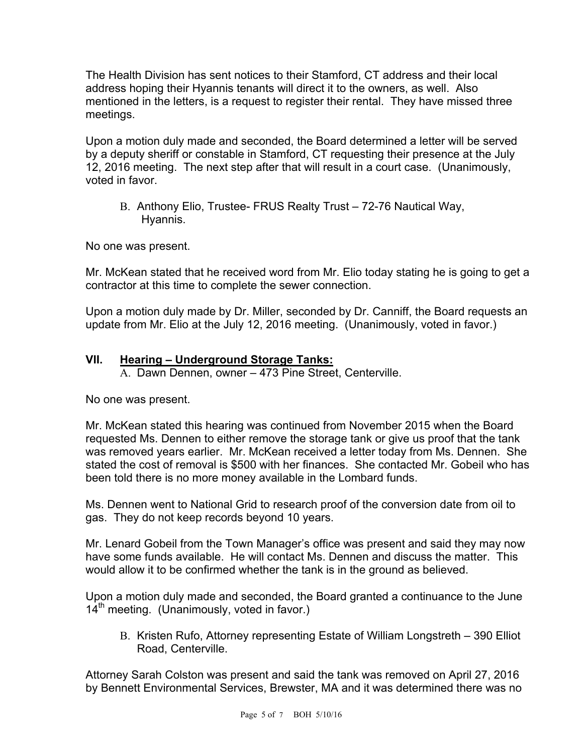The Health Division has sent notices to their Stamford, CT address and their local address hoping their Hyannis tenants will direct it to the owners, as well. Also mentioned in the letters, is a request to register their rental. They have missed three meetings.

Upon a motion duly made and seconded, the Board determined a letter will be served by a deputy sheriff or constable in Stamford, CT requesting their presence at the July 12, 2016 meeting. The next step after that will result in a court case. (Unanimously, voted in favor.

B. Anthony Elio, Trustee- FRUS Realty Trust – 72-76 Nautical Way, Hyannis.

No one was present.

Mr. McKean stated that he received word from Mr. Elio today stating he is going to get a contractor at this time to complete the sewer connection.

Upon a motion duly made by Dr. Miller, seconded by Dr. Canniff, the Board requests an update from Mr. Elio at the July 12, 2016 meeting. (Unanimously, voted in favor.)

## **VII. Hearing – Underground Storage Tanks:**

A. Dawn Dennen, owner – 473 Pine Street, Centerville.

No one was present.

Mr. McKean stated this hearing was continued from November 2015 when the Board requested Ms. Dennen to either remove the storage tank or give us proof that the tank was removed years earlier. Mr. McKean received a letter today from Ms. Dennen. She stated the cost of removal is \$500 with her finances. She contacted Mr. Gobeil who has been told there is no more money available in the Lombard funds.

Ms. Dennen went to National Grid to research proof of the conversion date from oil to gas. They do not keep records beyond 10 years.

Mr. Lenard Gobeil from the Town Manager's office was present and said they may now have some funds available. He will contact Ms. Dennen and discuss the matter. This would allow it to be confirmed whether the tank is in the ground as believed.

Upon a motion duly made and seconded, the Board granted a continuance to the June  $14<sup>th</sup>$  meeting. (Unanimously, voted in favor.)

B. Kristen Rufo, Attorney representing Estate of William Longstreth – 390 Elliot Road, Centerville.

Attorney Sarah Colston was present and said the tank was removed on April 27, 2016 by Bennett Environmental Services, Brewster, MA and it was determined there was no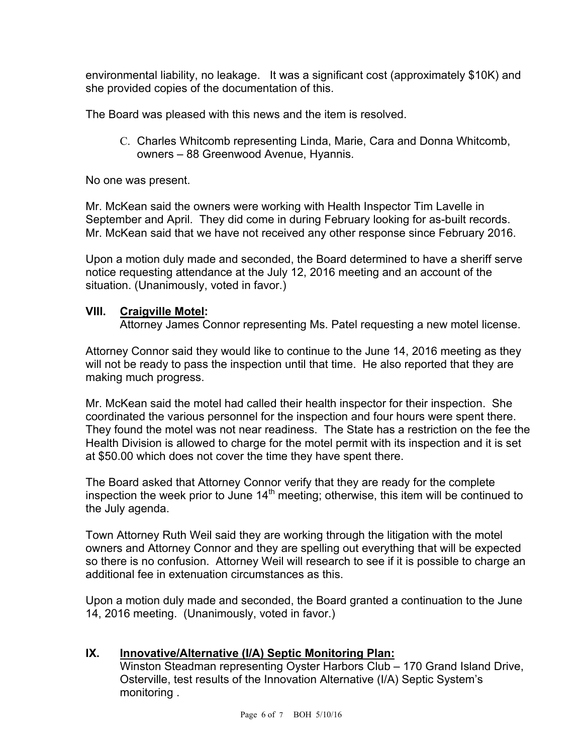environmental liability, no leakage. It was a significant cost (approximately \$10K) and she provided copies of the documentation of this.

The Board was pleased with this news and the item is resolved.

C. Charles Whitcomb representing Linda, Marie, Cara and Donna Whitcomb, owners – 88 Greenwood Avenue, Hyannis.

No one was present.

Mr. McKean said the owners were working with Health Inspector Tim Lavelle in September and April. They did come in during February looking for as-built records. Mr. McKean said that we have not received any other response since February 2016.

Upon a motion duly made and seconded, the Board determined to have a sheriff serve notice requesting attendance at the July 12, 2016 meeting and an account of the situation. (Unanimously, voted in favor.)

## **VIII. Craigville Motel:**

Attorney James Connor representing Ms. Patel requesting a new motel license.

Attorney Connor said they would like to continue to the June 14, 2016 meeting as they will not be ready to pass the inspection until that time. He also reported that they are making much progress.

Mr. McKean said the motel had called their health inspector for their inspection. She coordinated the various personnel for the inspection and four hours were spent there. They found the motel was not near readiness. The State has a restriction on the fee the Health Division is allowed to charge for the motel permit with its inspection and it is set at \$50.00 which does not cover the time they have spent there.

The Board asked that Attorney Connor verify that they are ready for the complete inspection the week prior to June  $14<sup>th</sup>$  meeting; otherwise, this item will be continued to the July agenda.

Town Attorney Ruth Weil said they are working through the litigation with the motel owners and Attorney Connor and they are spelling out everything that will be expected so there is no confusion. Attorney Weil will research to see if it is possible to charge an additional fee in extenuation circumstances as this.

Upon a motion duly made and seconded, the Board granted a continuation to the June 14, 2016 meeting. (Unanimously, voted in favor.)

## **IX. Innovative/Alternative (I/A) Septic Monitoring Plan:**

Winston Steadman representing Oyster Harbors Club – 170 Grand Island Drive, Osterville, test results of the Innovation Alternative (I/A) Septic System's monitoring .